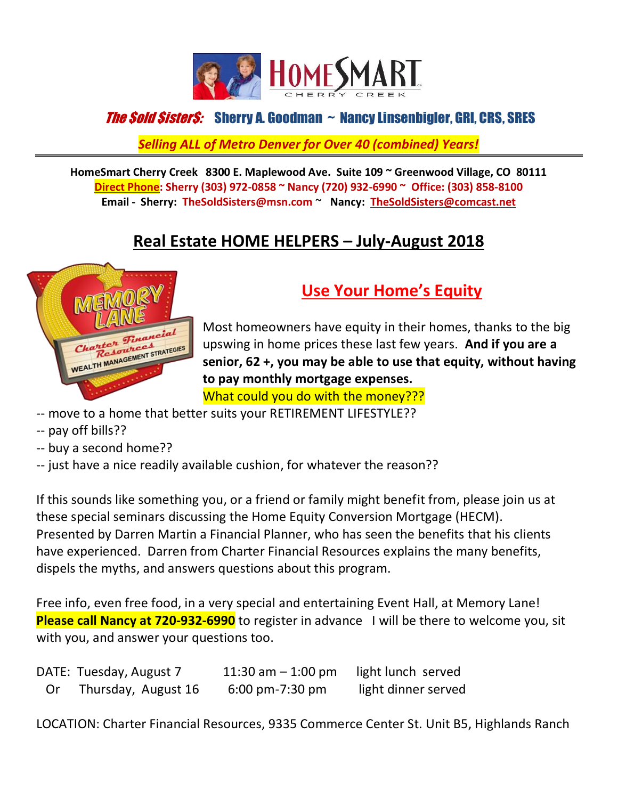

#### *The Sold SisterS:* Sherry A. Goodman ~ Nancy Linsenbigler, GRI, CRS, SRES

*Selling ALL of Metro Denver for Over 40 (combined) Years!*

**HomeSmart Cherry Creek 8300 E. Maplewood Ave. Suite 109 ~ Greenwood Village, CO 80111 Direct Phone: Sherry (303) 972-0858 ~ Nancy (720) 932-6990 ~ Office: (303) 858-8100 Email - Sherry: [TheS](mailto:The)oldSisters@msn.com** ~ **Nancy: TheSoldSisters@comcast.net**

### **Real Estate HOME HELPERS – July-August 2018**



### **Use Your Home's Equity**

Most homeowners have equity in their homes, thanks to the big upswing in home prices these last few years. **And if you are a senior, 62 +, you may be able to use that equity, without having to pay monthly mortgage expenses.** What could you do with the money???

- -- move to a home that better suits your RETIREMENT LIFESTYLE??
- -- pay off bills??
- -- buy a second home??
- -- just have a nice readily available cushion, for whatever the reason??

If this sounds like something you, or a friend or family might benefit from, please join us at these special seminars discussing the Home Equity Conversion Mortgage (HECM). Presented by Darren Martin a Financial Planner, who has seen the benefits that his clients have experienced. Darren from Charter Financial Resources explains the many benefits, dispels the myths, and answers questions about this program.

Free info, even free food, in a very special and entertaining Event Hall, at Memory Lane! **Please call Nancy at 720-932-6990** to register in advance I will be there to welcome you, sit with you, and answer your questions too.

|    | DATE: Tuesday, August 7 | 11:30 am $-$ 1:00 pm       | light lunch served  |
|----|-------------------------|----------------------------|---------------------|
| Or | Thursday, August 16     | $6:00 \text{ pm}$ -7:30 pm | light dinner served |

LOCATION: Charter Financial Resources, 9335 Commerce Center St. Unit B5, Highlands Ranch